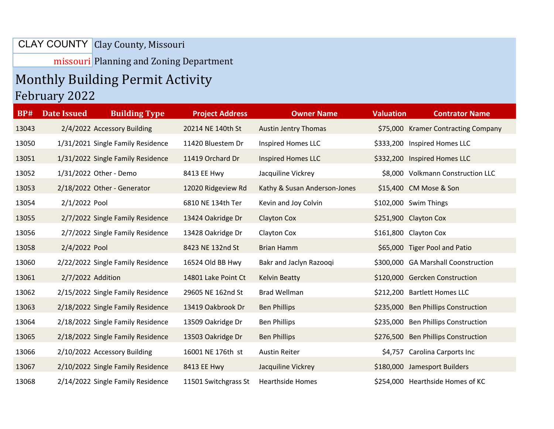## Clay County, Missouri CLAY COUNTY

missouri Planning and Zoning Department

## Monthly Building Permit Activity

## February 2022

| <b>BP#</b> | <b>Date Issued</b> | <b>Building Type</b>              | <b>Project Address</b> | <b>Owner Name</b>            | <b>Valuation</b> | <b>Contrator Name</b>               |
|------------|--------------------|-----------------------------------|------------------------|------------------------------|------------------|-------------------------------------|
| 13043      |                    | 2/4/2022 Accessory Building       | 20214 NE 140th St      | <b>Austin Jentry Thomas</b>  |                  | \$75,000 Kramer Contracting Company |
| 13050      |                    | 1/31/2021 Single Family Residence | 11420 Bluestem Dr      | Inspired Homes LLC           |                  | \$333,200 Inspired Homes LLC        |
| 13051      |                    | 1/31/2022 Single Family Residence | 11419 Orchard Dr       | <b>Inspired Homes LLC</b>    |                  | \$332,200 Inspired Homes LLC        |
| 13052      |                    | 1/31/2022 Other - Demo            | 8413 EE Hwy            | Jacquiline Vickrey           |                  | \$8,000 Volkmann Construction LLC   |
| 13053      |                    | 2/18/2022 Other - Generator       | 12020 Ridgeview Rd     | Kathy & Susan Anderson-Jones |                  | \$15,400 CM Mose & Son              |
| 13054      | 2/1/2022 Pool      |                                   | 6810 NE 134th Ter      | Kevin and Joy Colvin         |                  | \$102,000 Swim Things               |
| 13055      |                    | 2/7/2022 Single Family Residence  | 13424 Oakridge Dr      | <b>Clayton Cox</b>           |                  | \$251,900 Clayton Cox               |
| 13056      |                    | 2/7/2022 Single Family Residence  | 13428 Oakridge Dr      | Clayton Cox                  |                  | \$161,800 Clayton Cox               |
| 13058      | 2/4/2022 Pool      |                                   | 8423 NE 132nd St       | <b>Brian Hamm</b>            |                  | \$65,000 Tiger Pool and Patio       |
| 13060      |                    | 2/22/2022 Single Family Residence | 16524 Old BB Hwy       | Bakr and Jaclyn Razooqi      |                  | \$300,000 GA Marshall Coonstruction |
| 13061      | 2/7/2022 Addition  |                                   | 14801 Lake Point Ct    | <b>Kelvin Beatty</b>         |                  | \$120,000 Gercken Construction      |
| 13062      |                    | 2/15/2022 Single Family Residence | 29605 NE 162nd St      | <b>Brad Wellman</b>          |                  | \$212,200 Bartlett Homes LLC        |
| 13063      |                    | 2/18/2022 Single Family Residence | 13419 Oakbrook Dr      | <b>Ben Phillips</b>          |                  | \$235,000 Ben Phillips Construction |
| 13064      |                    | 2/18/2022 Single Family Residence | 13509 Oakridge Dr      | <b>Ben Phillips</b>          | \$235,000        | <b>Ben Phillips Construction</b>    |
| 13065      |                    | 2/18/2022 Single Family Residence | 13503 Oakridge Dr      | <b>Ben Phillips</b>          |                  | \$276,500 Ben Phillips Construction |
| 13066      |                    | 2/10/2022 Accessory Building      | 16001 NE 176th st      | <b>Austin Reiter</b>         |                  | \$4,757 Carolina Carports Inc       |
| 13067      |                    | 2/10/2022 Single Family Residence | 8413 EE Hwy            | Jacquiline Vickrey           |                  | \$180,000 Jamesport Builders        |
| 13068      |                    | 2/14/2022 Single Family Residence | 11501 Switchgrass St   | <b>Hearthside Homes</b>      |                  | \$254,000 Hearthside Homes of KC    |